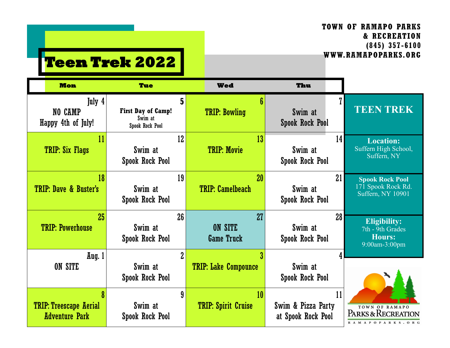## **TOWN OF RAMAPO PARKS & RECREATION (845) 357 -6100 WWW.RAMAPOPARKS.ORG**

## **Teen Trek 2022**

| <b>Mon</b>                                             | Tue                                                          | <b>Wed</b>                         | Thu                                            |                                                                    |
|--------------------------------------------------------|--------------------------------------------------------------|------------------------------------|------------------------------------------------|--------------------------------------------------------------------|
| July 4<br>NO CAMP<br>Happy 4th of July!                | 5<br><b>First Day of Camp!</b><br>Swim at<br>Spook Rock Pool | 6<br><b>TRIP: Bowling</b>          | Swim at<br><b>Spook Rock Pool</b>              | <b>TEEN TREK</b>                                                   |
| <b>TRIP: Six Flags</b>                                 | 12<br>Swim at<br>Spook Rock Pool                             | 13<br><b>TRIP: Movie</b>           | 14<br>Swim at<br><b>Spook Rock Pool</b>        | <b>Location:</b><br>Suffern High School,<br>Suffern, NY            |
| 18<br><b>TRIP: Dave &amp; Buster's</b>                 | 19<br>Swim at<br><b>Spook Rock Pool</b>                      | 20<br><b>TRIP: Camelbeach</b>      | 21<br>Swim at<br><b>Spook Rock Pool</b>        | <b>Spook Rock Pool</b><br>171 Spook Rock Rd.<br>Suffern, NY 10901  |
| 25<br><b>TRIP: Powerhouse</b>                          | 26<br>Swim at<br><b>Spook Rock Pool</b>                      | 27<br>ON SITE<br><b>Game Truck</b> | 28<br>Swim at<br><b>Spook Rock Pool</b>        | <b>Eligibility:</b><br>7th - 9th Grades<br>Hours:<br>9:00am-3:00pm |
| <b>Aug.</b> 1<br>ON SITE                               | $\overline{2}$<br>Swim at<br><b>Spook Rock Pool</b>          | 3<br><b>TRIP: Lake Compounce</b>   | Swim at<br><b>Spook Rock Pool</b>              |                                                                    |
| <b>TRIP: Treescape Aerial</b><br><b>Adventure Park</b> | 9<br>Swim at<br>Spook Rock Pool                              | 10<br><b>TRIP: Spirit Cruise</b>   | 11<br>Swim & Pizza Party<br>at Spook Rock Pool | TOWN OF RAMAPO<br>PARKS & RECREATION<br>RAMAPOPARKS.ORG            |